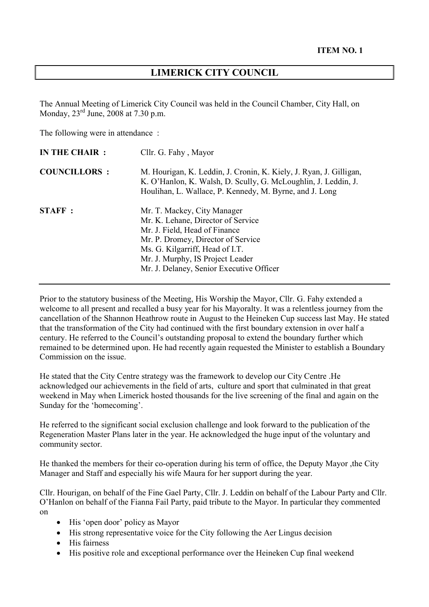# **LIMERICK CITY COUNCIL**

The Annual Meeting of Limerick City Council was held in the Council Chamber, City Hall, on Monday, 23rd June, 2008 at 7.30 p.m.

The following were in attendance :

| <b>IN THE CHAIR:</b> | Cllr. G. Fahy, Mayor                                                                                                                                                                                                                                        |
|----------------------|-------------------------------------------------------------------------------------------------------------------------------------------------------------------------------------------------------------------------------------------------------------|
| <b>COUNCILLORS:</b>  | M. Hourigan, K. Leddin, J. Cronin, K. Kiely, J. Ryan, J. Gilligan,<br>K. O'Hanlon, K. Walsh, D. Scully, G. McLoughlin, J. Leddin, J.<br>Houlihan, L. Wallace, P. Kennedy, M. Byrne, and J. Long                                                             |
| <b>STAFF:</b>        | Mr. T. Mackey, City Manager<br>Mr. K. Lehane, Director of Service<br>Mr. J. Field, Head of Finance<br>Mr. P. Dromey, Director of Service<br>Ms. G. Kilgarriff, Head of I.T.<br>Mr. J. Murphy, IS Project Leader<br>Mr. J. Delaney, Senior Executive Officer |

Prior to the statutory business of the Meeting, His Worship the Mayor, Cllr. G. Fahy extended a welcome to all present and recalled a busy year for his Mayoralty. It was a relentless journey from the cancellation of the Shannon Heathrow route in August to the Heineken Cup success last May. He stated that the transformation of the City had continued with the first boundary extension in over half a century. He referred to the Council's outstanding proposal to extend the boundary further which remained to be determined upon. He had recently again requested the Minister to establish a Boundary Commission on the issue.

He stated that the City Centre strategy was the framework to develop our City Centre .He acknowledged our achievements in the field of arts, culture and sport that culminated in that great weekend in May when Limerick hosted thousands for the live screening of the final and again on the Sunday for the 'homecoming'.

He referred to the significant social exclusion challenge and look forward to the publication of the Regeneration Master Plans later in the year. He acknowledged the huge input of the voluntary and community sector.

He thanked the members for their co-operation during his term of office, the Deputy Mayor ,the City Manager and Staff and especially his wife Maura for her support during the year.

Cllr. Hourigan, on behalf of the Fine Gael Party, Cllr. J. Leddin on behalf of the Labour Party and Cllr. O'Hanlon on behalf of the Fianna Fail Party, paid tribute to the Mayor. In particular they commented on

- His 'open door' policy as Mayor
- His strong representative voice for the City following the Aer Lingus decision
- His fairness
- His positive role and exceptional performance over the Heineken Cup final weekend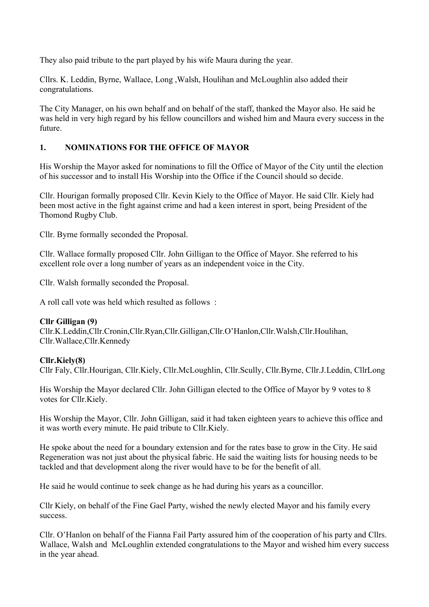They also paid tribute to the part played by his wife Maura during the year.

Cllrs. K. Leddin, Byrne, Wallace, Long ,Walsh, Houlihan and McLoughlin also added their congratulations.

The City Manager, on his own behalf and on behalf of the staff, thanked the Mayor also. He said he was held in very high regard by his fellow councillors and wished him and Maura every success in the future.

## **1. NOMINATIONS FOR THE OFFICE OF MAYOR**

His Worship the Mayor asked for nominations to fill the Office of Mayor of the City until the election of his successor and to install His Worship into the Office if the Council should so decide.

Cllr. Hourigan formally proposed Cllr. Kevin Kiely to the Office of Mayor. He said Cllr. Kiely had been most active in the fight against crime and had a keen interest in sport, being President of the Thomond Rugby Club.

Cllr. Byrne formally seconded the Proposal.

Cllr. Wallace formally proposed Cllr. John Gilligan to the Office of Mayor. She referred to his excellent role over a long number of years as an independent voice in the City.

Cllr. Walsh formally seconded the Proposal.

A roll call vote was held which resulted as follows :

### **Cllr Gilligan (9)**

Cllr.K.Leddin,Cllr.Cronin,Cllr.Ryan,Cllr.Gilligan,Cllr.O'Hanlon,Cllr.Walsh,Cllr.Houlihan, Cllr.Wallace,Cllr.Kennedy

## **Cllr.Kiely(8)**

Cllr Faly, Cllr.Hourigan, Cllr.Kiely, Cllr.McLoughlin, Cllr.Scully, Cllr.Byrne, Cllr.J.Leddin, CllrLong

His Worship the Mayor declared Cllr. John Gilligan elected to the Office of Mayor by 9 votes to 8 votes for Cllr.Kiely.

His Worship the Mayor, Cllr. John Gilligan, said it had taken eighteen years to achieve this office and it was worth every minute. He paid tribute to Cllr.Kiely.

He spoke about the need for a boundary extension and for the rates base to grow in the City. He said Regeneration was not just about the physical fabric. He said the waiting lists for housing needs to be tackled and that development along the river would have to be for the benefit of all.

He said he would continue to seek change as he had during his years as a councillor.

Cllr Kiely, on behalf of the Fine Gael Party, wished the newly elected Mayor and his family every success.

Cllr. O'Hanlon on behalf of the Fianna Fail Party assured him of the cooperation of his party and Cllrs. Wallace, Walsh and McLoughlin extended congratulations to the Mayor and wished him every success in the year ahead.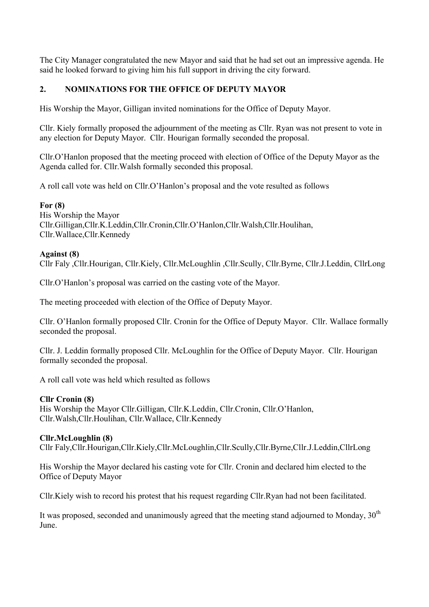The City Manager congratulated the new Mayor and said that he had set out an impressive agenda. He said he looked forward to giving him his full support in driving the city forward.

## **2. NOMINATIONS FOR THE OFFICE OF DEPUTY MAYOR**

His Worship the Mayor, Gilligan invited nominations for the Office of Deputy Mayor.

Cllr. Kiely formally proposed the adjournment of the meeting as Cllr. Ryan was not present to vote in any election for Deputy Mayor. Cllr. Hourigan formally seconded the proposal.

Cllr.O'Hanlon proposed that the meeting proceed with election of Office of the Deputy Mayor as the Agenda called for. Cllr.Walsh formally seconded this proposal.

A roll call vote was held on Cllr.O'Hanlon's proposal and the vote resulted as follows

### **For (8)**

His Worship the Mayor Cllr.Gilligan,Cllr.K.Leddin,Cllr.Cronin,Cllr.O'Hanlon,Cllr.Walsh,Cllr.Houlihan, Cllr.Wallace,Cllr.Kennedy

### **Against (8)**

Cllr Faly ,Cllr.Hourigan, Cllr.Kiely, Cllr.McLoughlin ,Cllr.Scully, Cllr.Byrne, Cllr.J.Leddin, CllrLong

Cllr.O'Hanlon's proposal was carried on the casting vote of the Mayor.

The meeting proceeded with election of the Office of Deputy Mayor.

Cllr. O'Hanlon formally proposed Cllr. Cronin for the Office of Deputy Mayor. Cllr. Wallace formally seconded the proposal.

Cllr. J. Leddin formally proposed Cllr. McLoughlin for the Office of Deputy Mayor. Cllr. Hourigan formally seconded the proposal.

A roll call vote was held which resulted as follows

### **Cllr Cronin (8)**

His Worship the Mayor Cllr.Gilligan, Cllr.K.Leddin, Cllr.Cronin, Cllr.O'Hanlon, Cllr.Walsh,Cllr.Houlihan, Cllr.Wallace, Cllr.Kennedy

### **Cllr.McLoughlin (8)**

Cllr Faly,Cllr.Hourigan,Cllr.Kiely,Cllr.McLoughlin,Cllr.Scully,Cllr.Byrne,Cllr.J.Leddin,CllrLong

His Worship the Mayor declared his casting vote for Cllr. Cronin and declared him elected to the Office of Deputy Mayor

Cllr.Kiely wish to record his protest that his request regarding Cllr.Ryan had not been facilitated.

It was proposed, seconded and unanimously agreed that the meeting stand adjourned to Monday,  $30<sup>th</sup>$ June.